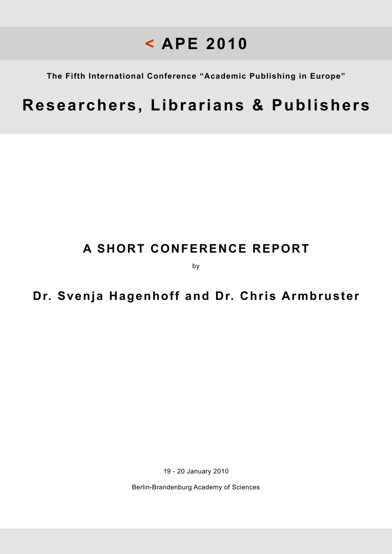**The Fifth International Conference "Academic Publishing in Europe"**

# **Researchers, Librarians & Publishers**

## **A SHORT CONFERENCE REPORT**

by

### **Dr. Svenja Hagenhoff and Dr. Chris Armbruster**

19 - 20 January 2010

Berlin-Brandenburg Academy of Sciences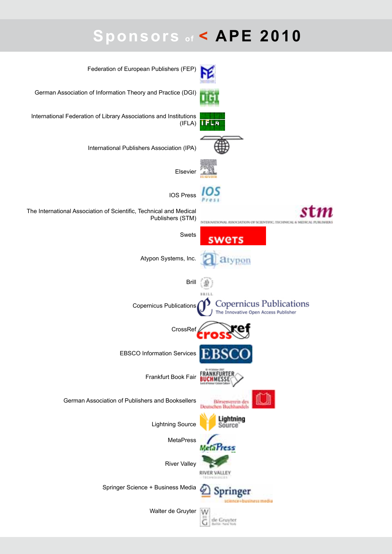# **Sponsors of < APE 2010**

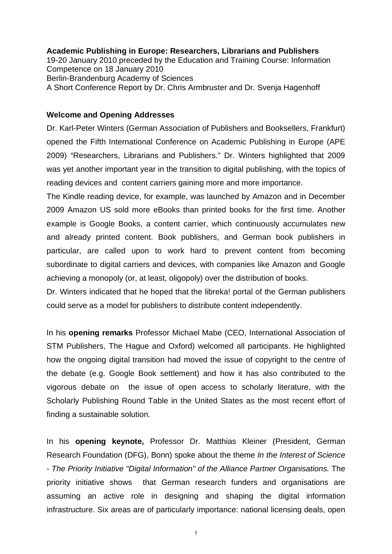#### **Academic Publishing in Europe: Researchers, Librarians and Publishers**

19-20 January 2010 preceded by the Education and Training Course: Information Competence on 18 January 2010 Berlin-Brandenburg Academy of Sciences A Short Conference Report by Dr. Chris Armbruster and Dr. Svenja Hagenhoff

#### **Welcome and Opening Addresses**

Dr. Karl-Peter Winters (German Association of Publishers and Booksellers, Frankfurt) opened the Fifth International Conference on Academic Publishing in Europe (APE 2009) "Researchers, Librarians and Publishers." Dr. Winters highlighted that 2009 was yet another important year in the transition to digital publishing, with the topics of reading devices and content carriers gaining more and more importance.

The Kindle reading device, for example, was launched by Amazon and in December 2009 Amazon US sold more eBooks than printed books for the first time. Another example is Google Books, a content carrier, which continuously accumulates new and already printed content. Book publishers, and German book publishers in particular, are called upon to work hard to prevent content from becoming subordinate to digital carriers and devices, with companies like Amazon and Google achieving a monopoly (or, at least, oligopoly) over the distribution of books.

Dr. Winters indicated that he hoped that the libreka! portal of the German publishers could serve as a model for publishers to distribute content independently.

In his **opening remarks** Professor Michael Mabe (CEO, International Association of STM Publishers, The Hague and Oxford) welcomed all participants. He highlighted how the ongoing digital transition had moved the issue of copyright to the centre of the debate (e.g. Google Book settlement) and how it has also contributed to the vigorous debate on the issue of open access to scholarly literature, with the Scholarly Publishing Round Table in the United States as the most recent effort of finding a sustainable solution.

In his **opening keynote,** Professor Dr. Matthias Kleiner (President, German Research Foundation (DFG), Bonn) spoke about the theme *In the Interest of Science - The Priority Initiative "Digital Information" of the Alliance Partner Organisations.* The priority initiative shows that German research funders and organisations are assuming an active role in designing and shaping the digital information infrastructure. Six areas are of particularly importance: national licensing deals, open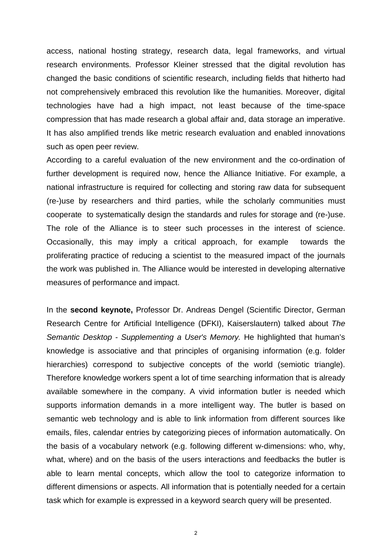access, national hosting strategy, research data, legal frameworks, and virtual research environments. Professor Kleiner stressed that the digital revolution has changed the basic conditions of scientific research, including fields that hitherto had not comprehensively embraced this revolution like the humanities. Moreover, digital technologies have had a high impact, not least because of the time-space compression that has made research a global affair and, data storage an imperative. It has also amplified trends like metric research evaluation and enabled innovations such as open peer review.

According to a careful evaluation of the new environment and the co-ordination of further development is required now, hence the Alliance Initiative. For example, a national infrastructure is required for collecting and storing raw data for subsequent (re-)use by researchers and third parties, while the scholarly communities must cooperate to systematically design the standards and rules for storage and (re-)use. The role of the Alliance is to steer such processes in the interest of science. Occasionally, this may imply a critical approach, for example towards the proliferating practice of reducing a scientist to the measured impact of the journals the work was published in. The Alliance would be interested in developing alternative measures of performance and impact.

In the **second keynote,** Professor Dr. Andreas Dengel (Scientific Director, German Research Centre for Artificial Intelligence (DFKI), Kaiserslautern) talked about *The Semantic Desktop - Supplementing a User's Memory.* He highlighted that human's knowledge is associative and that principles of organising information (e.g. folder hierarchies) correspond to subjective concepts of the world (semiotic triangle). Therefore knowledge workers spent a lot of time searching information that is already available somewhere in the company. A vivid information butler is needed which supports information demands in a more intelligent way. The butler is based on semantic web technology and is able to link information from different sources like emails, files, calendar entries by categorizing pieces of information automatically. On the basis of a vocabulary network (e.g. following different w-dimensions: who, why, what, where) and on the basis of the users interactions and feedbacks the butler is able to learn mental concepts, which allow the tool to categorize information to different dimensions or aspects. All information that is potentially needed for a certain task which for example is expressed in a keyword search query will be presented.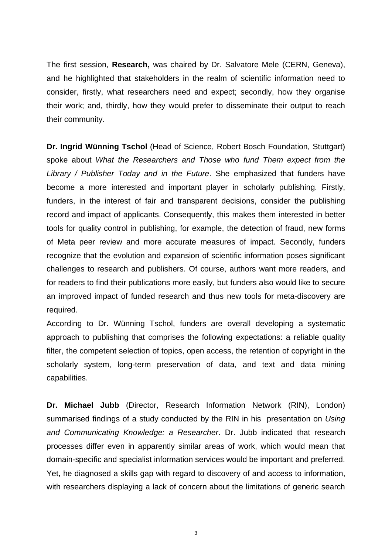The first session, **Research,** was chaired by Dr. Salvatore Mele (CERN, Geneva), and he highlighted that stakeholders in the realm of scientific information need to consider, firstly, what researchers need and expect; secondly, how they organise their work; and, thirdly, how they would prefer to disseminate their output to reach their community.

**Dr. Ingrid Wünning Tschol** (Head of Science, Robert Bosch Foundation, Stuttgart) spoke about *What the Researchers and Those who fund Them expect from the Library / Publisher Today and in the Future*. She emphasized that funders have become a more interested and important player in scholarly publishing. Firstly, funders, in the interest of fair and transparent decisions, consider the publishing record and impact of applicants. Consequently, this makes them interested in better tools for quality control in publishing, for example, the detection of fraud, new forms of Meta peer review and more accurate measures of impact. Secondly, funders recognize that the evolution and expansion of scientific information poses significant challenges to research and publishers. Of course, authors want more readers, and for readers to find their publications more easily, but funders also would like to secure an improved impact of funded research and thus new tools for meta-discovery are required.

According to Dr. Wünning Tschol, funders are overall developing a systematic approach to publishing that comprises the following expectations: a reliable quality filter, the competent selection of topics, open access, the retention of copyright in the scholarly system, long-term preservation of data, and text and data mining capabilities.

**Dr. Michael Jubb** (Director, Research Information Network (RIN), London) summarised findings of a study conducted by the RIN in his presentation on *Using and Communicating Knowledge: a Researcher*. Dr. Jubb indicated that research processes differ even in apparently similar areas of work, which would mean that domain-specific and specialist information services would be important and preferred. Yet, he diagnosed a skills gap with regard to discovery of and access to information, with researchers displaying a lack of concern about the limitations of generic search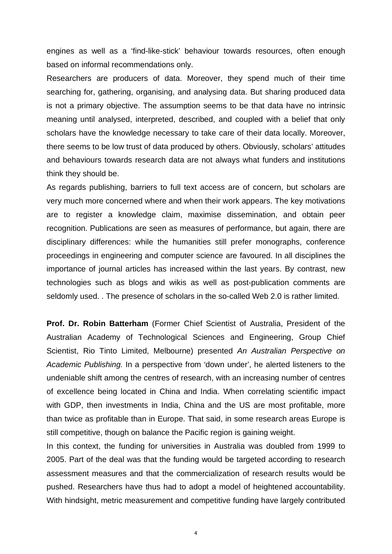engines as well as a 'find-like-stick' behaviour towards resources, often enough based on informal recommendations only.

Researchers are producers of data. Moreover, they spend much of their time searching for, gathering, organising, and analysing data. But sharing produced data is not a primary objective. The assumption seems to be that data have no intrinsic meaning until analysed, interpreted, described, and coupled with a belief that only scholars have the knowledge necessary to take care of their data locally. Moreover, there seems to be low trust of data produced by others. Obviously, scholars' attitudes and behaviours towards research data are not always what funders and institutions think they should be.

As regards publishing, barriers to full text access are of concern, but scholars are very much more concerned where and when their work appears. The key motivations are to register a knowledge claim, maximise dissemination, and obtain peer recognition. Publications are seen as measures of performance, but again, there are disciplinary differences: while the humanities still prefer monographs, conference proceedings in engineering and computer science are favoured. In all disciplines the importance of journal articles has increased within the last years. By contrast, new technologies such as blogs and wikis as well as post-publication comments are seldomly used. . The presence of scholars in the so-called Web 2.0 is rather limited.

**Prof. Dr. Robin Batterham** (Former Chief Scientist of Australia, President of the Australian Academy of Technological Sciences and Engineering, Group Chief Scientist, Rio Tinto Limited, Melbourne) presented *An Australian Perspective on Academic Publishing.* In a perspective from 'down under', he alerted listeners to the undeniable shift among the centres of research, with an increasing number of centres of excellence being located in China and India. When correlating scientific impact with GDP, then investments in India, China and the US are most profitable, more than twice as profitable than in Europe. That said, in some research areas Europe is still competitive, though on balance the Pacific region is gaining weight.

In this context, the funding for universities in Australia was doubled from 1999 to 2005. Part of the deal was that the funding would be targeted according to research assessment measures and that the commercialization of research results would be pushed. Researchers have thus had to adopt a model of heightened accountability. With hindsight, metric measurement and competitive funding have largely contributed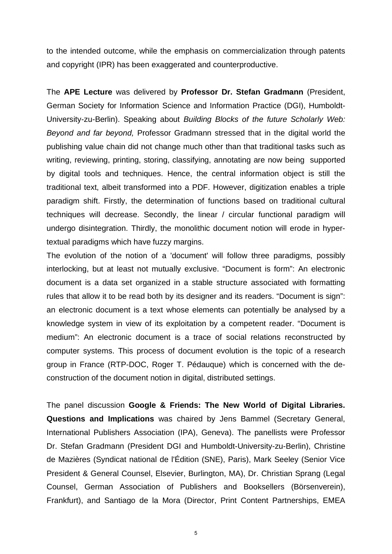to the intended outcome, while the emphasis on commercialization through patents and copyright (IPR) has been exaggerated and counterproductive.

The **APE Lecture** was delivered by **Professor Dr. Stefan Gradmann** (President, German Society for Information Science and Information Practice (DGI), Humboldt-University-zu-Berlin). Speaking about *Building Blocks of the future Scholarly Web: Beyond and far beyond,* Professor Gradmann stressed that in the digital world the publishing value chain did not change much other than that traditional tasks such as writing, reviewing, printing, storing, classifying, annotating are now being supported by digital tools and techniques. Hence, the central information object is still the traditional text, albeit transformed into a PDF. However, digitization enables a triple paradigm shift. Firstly, the determination of functions based on traditional cultural techniques will decrease. Secondly, the linear / circular functional paradigm will undergo disintegration. Thirdly, the monolithic document notion will erode in hypertextual paradigms which have fuzzy margins.

The evolution of the notion of a 'document' will follow three paradigms, possibly interlocking, but at least not mutually exclusive. "Document is form": An electronic document is a data set organized in a stable structure associated with formatting rules that allow it to be read both by its designer and its readers. "Document is sign": an electronic document is a text whose elements can potentially be analysed by a knowledge system in view of its exploitation by a competent reader. "Document is medium": An electronic document is a trace of social relations reconstructed by computer systems. This process of document evolution is the topic of a research group in France (RTP-DOC, Roger T. Pédauque) which is concerned with the deconstruction of the document notion in digital, distributed settings.

The panel discussion **Google & Friends: The New World of Digital Libraries. Questions and Implications** was chaired by Jens Bammel (Secretary General, International Publishers Association (IPA), Geneva). The panellists were Professor Dr. Stefan Gradmann (President DGI and Humboldt-University-zu-Berlin), Christine de Mazières (Syndicat national de l'Édition (SNE), Paris), Mark Seeley (Senior Vice President & General Counsel, Elsevier, Burlington, MA), Dr. Christian Sprang (Legal Counsel, German Association of Publishers and Booksellers (Börsenverein), Frankfurt), and Santiago de la Mora (Director, Print Content Partnerships, EMEA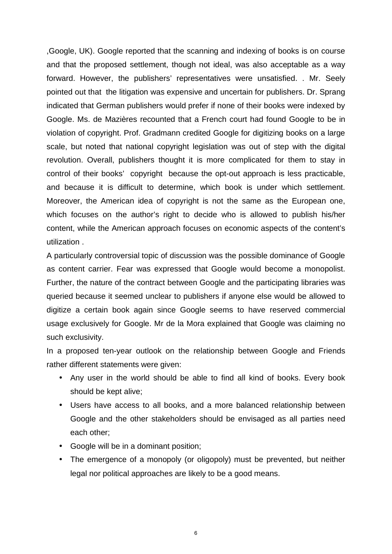,Google, UK). Google reported that the scanning and indexing of books is on course and that the proposed settlement, though not ideal, was also acceptable as a way forward. However, the publishers' representatives were unsatisfied. . Mr. Seely pointed out that the litigation was expensive and uncertain for publishers. Dr. Sprang indicated that German publishers would prefer if none of their books were indexed by Google. Ms. de Mazières recounted that a French court had found Google to be in violation of copyright. Prof. Gradmann credited Google for digitizing books on a large scale, but noted that national copyright legislation was out of step with the digital revolution. Overall, publishers thought it is more complicated for them to stay in control of their books' copyright because the opt-out approach is less practicable, and because it is difficult to determine, which book is under which settlement. Moreover, the American idea of copyright is not the same as the European one, which focuses on the author's right to decide who is allowed to publish his/her content, while the American approach focuses on economic aspects of the content's utilization .

A particularly controversial topic of discussion was the possible dominance of Google as content carrier. Fear was expressed that Google would become a monopolist. Further, the nature of the contract between Google and the participating libraries was queried because it seemed unclear to publishers if anyone else would be allowed to digitize a certain book again since Google seems to have reserved commercial usage exclusively for Google. Mr de la Mora explained that Google was claiming no such exclusivity.

In a proposed ten-year outlook on the relationship between Google and Friends rather different statements were given:

- Any user in the world should be able to find all kind of books. Every book should be kept alive;
- Users have access to all books, and a more balanced relationship between Google and the other stakeholders should be envisaged as all parties need each other;
- Google will be in a dominant position;
- The emergence of a monopoly (or oligopoly) must be prevented, but neither legal nor political approaches are likely to be a good means.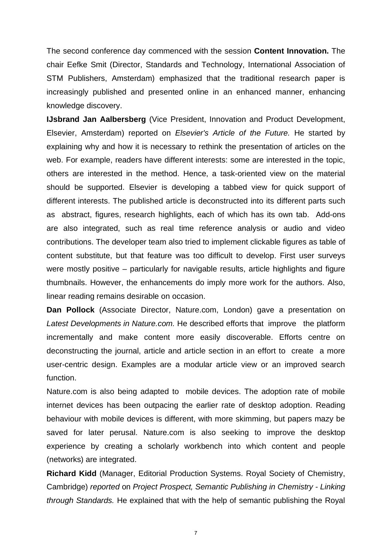The second conference day commenced with the session **Content Innovation.** The chair Eefke Smit (Director, Standards and Technology, International Association of STM Publishers, Amsterdam) emphasized that the traditional research paper is increasingly published and presented online in an enhanced manner, enhancing knowledge discovery.

**IJsbrand Jan Aalbersberg** (Vice President, Innovation and Product Development, Elsevier, Amsterdam) reported on *Elsevier's Article of the Future.* He started by explaining why and how it is necessary to rethink the presentation of articles on the web. For example, readers have different interests: some are interested in the topic, others are interested in the method. Hence, a task-oriented view on the material should be supported. Elsevier is developing a tabbed view for quick support of different interests. The published article is deconstructed into its different parts such as abstract, figures, research highlights, each of which has its own tab. Add-ons are also integrated, such as real time reference analysis or audio and video contributions. The developer team also tried to implement clickable figures as table of content substitute, but that feature was too difficult to develop. First user surveys were mostly positive – particularly for navigable results, article highlights and figure thumbnails. However, the enhancements do imply more work for the authors. Also, linear reading remains desirable on occasion.

**Dan Pollock** (Associate Director, Nature.com, London) gave a presentation on *Latest Developments in Nature.com.* He described efforts that improve the platform incrementally and make content more easily discoverable. Efforts centre on deconstructing the journal, article and article section in an effort to create a more user-centric design. Examples are a modular article view or an improved search function.

Nature.com is also being adapted to mobile devices. The adoption rate of mobile internet devices has been outpacing the earlier rate of desktop adoption. Reading behaviour with mobile devices is different, with more skimming, but papers mazy be saved for later perusal. Nature.com is also seeking to improve the desktop experience by creating a scholarly workbench into which content and people (networks) are integrated.

**Richard Kidd** (Manager, Editorial Production Systems. Royal Society of Chemistry, Cambridge) *reported* on *Project Prospect, Semantic Publishing in Chemistry - Linking through Standards.* He explained that with the help of semantic publishing the Royal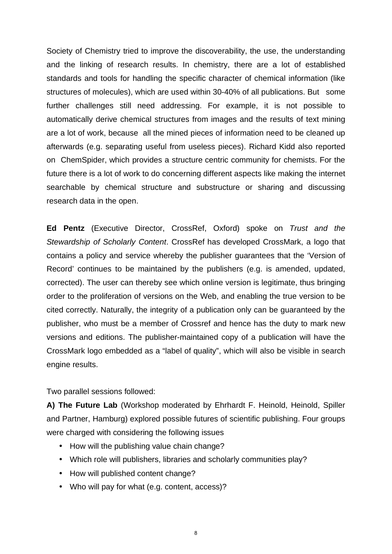Society of Chemistry tried to improve the discoverability, the use, the understanding and the linking of research results. In chemistry, there are a lot of established standards and tools for handling the specific character of chemical information (like structures of molecules), which are used within 30-40% of all publications. But some further challenges still need addressing. For example, it is not possible to automatically derive chemical structures from images and the results of text mining are a lot of work, because all the mined pieces of information need to be cleaned up afterwards (e.g. separating useful from useless pieces). Richard Kidd also reported on ChemSpider, which provides a structure centric community for chemists. For the future there is a lot of work to do concerning different aspects like making the internet searchable by chemical structure and substructure or sharing and discussing research data in the open.

**Ed Pentz** (Executive Director, CrossRef, Oxford) spoke on *Trust and the Stewardship of Scholarly Content*. CrossRef has developed CrossMark, a logo that contains a policy and service whereby the publisher guarantees that the 'Version of Record' continues to be maintained by the publishers (e.g. is amended, updated, corrected). The user can thereby see which online version is legitimate, thus bringing order to the proliferation of versions on the Web, and enabling the true version to be cited correctly. Naturally, the integrity of a publication only can be guaranteed by the publisher, who must be a member of Crossref and hence has the duty to mark new versions and editions. The publisher-maintained copy of a publication will have the CrossMark logo embedded as a "label of quality", which will also be visible in search engine results.

Two parallel sessions followed:

**A) The Future Lab** (Workshop moderated by Ehrhardt F. Heinold, Heinold, Spiller and Partner, Hamburg) explored possible futures of scientific publishing. Four groups were charged with considering the following issues

- How will the publishing value chain change?
- Which role will publishers, libraries and scholarly communities play?
- How will published content change?
- Who will pay for what (e.g. content, access)?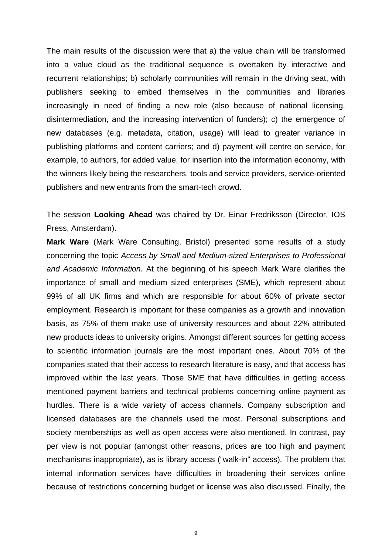The main results of the discussion were that a) the value chain will be transformed into a value cloud as the traditional sequence is overtaken by interactive and recurrent relationships; b) scholarly communities will remain in the driving seat, with publishers seeking to embed themselves in the communities and libraries increasingly in need of finding a new role (also because of national licensing, disintermediation, and the increasing intervention of funders); c) the emergence of new databases (e.g. metadata, citation, usage) will lead to greater variance in publishing platforms and content carriers; and d) payment will centre on service, for example, to authors, for added value, for insertion into the information economy, with the winners likely being the researchers, tools and service providers, service-oriented publishers and new entrants from the smart-tech crowd.

The session **Looking Ahead** was chaired by Dr. Einar Fredriksson (Director, IOS Press, Amsterdam).

**Mark Ware** (Mark Ware Consulting, Bristol) presented some results of a study concerning the topic *Access by Small and Medium-sized Enterprises to Professional and Academic Information.* At the beginning of his speech Mark Ware clarifies the importance of small and medium sized enterprises (SME), which represent about 99% of all UK firms and which are responsible for about 60% of private sector employment. Research is important for these companies as a growth and innovation basis, as 75% of them make use of university resources and about 22% attributed new products ideas to university origins. Amongst different sources for getting access to scientific information journals are the most important ones. About 70% of the companies stated that their access to research literature is easy, and that access has improved within the last years. Those SME that have difficulties in getting access mentioned payment barriers and technical problems concerning online payment as hurdles. There is a wide variety of access channels. Company subscription and licensed databases are the channels used the most. Personal subscriptions and society memberships as well as open access were also mentioned. In contrast, pay per view is not popular (amongst other reasons, prices are too high and payment mechanisms inappropriate), as is library access ("walk-in" access). The problem that internal information services have difficulties in broadening their services online because of restrictions concerning budget or license was also discussed. Finally, the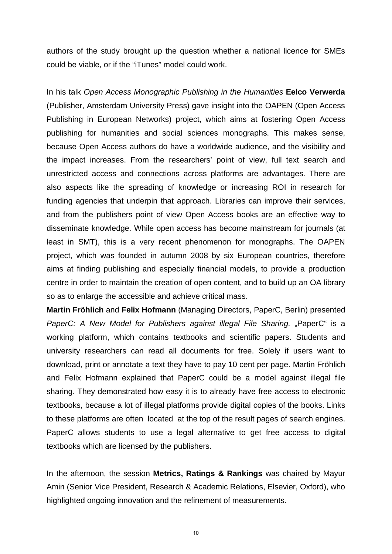authors of the study brought up the question whether a national licence for SMEs could be viable, or if the "iTunes" model could work.

In his talk *Open Access Monographic Publishing in the Humanities* **Eelco Verwerda**  (Publisher, Amsterdam University Press) gave insight into the OAPEN (Open Access Publishing in European Networks) project, which aims at fostering Open Access publishing for humanities and social sciences monographs. This makes sense, because Open Access authors do have a worldwide audience, and the visibility and the impact increases. From the researchers' point of view, full text search and unrestricted access and connections across platforms are advantages. There are also aspects like the spreading of knowledge or increasing ROI in research for funding agencies that underpin that approach. Libraries can improve their services, and from the publishers point of view Open Access books are an effective way to disseminate knowledge. While open access has become mainstream for journals (at least in SMT), this is a very recent phenomenon for monographs. The OAPEN project, which was founded in autumn 2008 by six European countries, therefore aims at finding publishing and especially financial models, to provide a production centre in order to maintain the creation of open content, and to build up an OA library so as to enlarge the accessible and achieve critical mass.

**Martin Fröhlich** and **Felix Hofmann** (Managing Directors, PaperC, Berlin) presented *PaperC: A New Model for Publishers against illegal File Sharing.* "PaperC" is a working platform, which contains textbooks and scientific papers. Students and university researchers can read all documents for free. Solely if users want to download, print or annotate a text they have to pay 10 cent per page. Martin Fröhlich and Felix Hofmann explained that PaperC could be a model against illegal file sharing. They demonstrated how easy it is to already have free access to electronic textbooks, because a lot of illegal platforms provide digital copies of the books. Links to these platforms are often located at the top of the result pages of search engines. PaperC allows students to use a legal alternative to get free access to digital textbooks which are licensed by the publishers.

In the afternoon, the session **Metrics, Ratings & Rankings** was chaired by Mayur Amin (Senior Vice President, Research & Academic Relations, Elsevier, Oxford), who highlighted ongoing innovation and the refinement of measurements.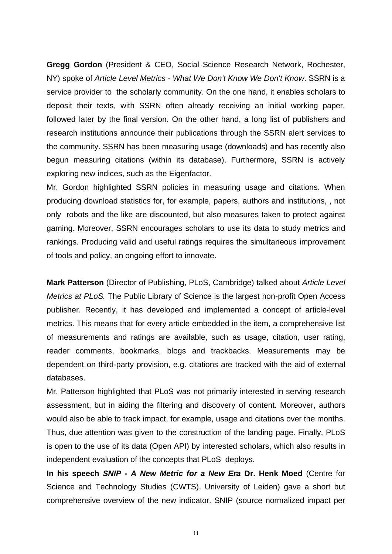**Gregg Gordon** (President & CEO, Social Science Research Network, Rochester, NY) spoke of *Article Level Metrics - What We Don't Know We Don't Know*. SSRN is a service provider to the scholarly community. On the one hand, it enables scholars to deposit their texts, with SSRN often already receiving an initial working paper, followed later by the final version. On the other hand, a long list of publishers and research institutions announce their publications through the SSRN alert services to the community. SSRN has been measuring usage (downloads) and has recently also begun measuring citations (within its database). Furthermore, SSRN is actively exploring new indices, such as the Eigenfactor.

Mr. Gordon highlighted SSRN policies in measuring usage and citations. When producing download statistics for, for example, papers, authors and institutions, , not only robots and the like are discounted, but also measures taken to protect against gaming. Moreover, SSRN encourages scholars to use its data to study metrics and rankings. Producing valid and useful ratings requires the simultaneous improvement of tools and policy, an ongoing effort to innovate.

**Mark Patterson** (Director of Publishing, PLoS, Cambridge) talked about *Article Level Metrics at PLoS.* The Public Library of Science is the largest non-profit Open Access publisher. Recently, it has developed and implemented a concept of article-level metrics. This means that for every article embedded in the item, a comprehensive list of measurements and ratings are available, such as usage, citation, user rating, reader comments, bookmarks, blogs and trackbacks. Measurements may be dependent on third-party provision, e.g. citations are tracked with the aid of external databases.

Mr. Patterson highlighted that PLoS was not primarily interested in serving research assessment, but in aiding the filtering and discovery of content. Moreover, authors would also be able to track impact, for example, usage and citations over the months. Thus, due attention was given to the construction of the landing page. Finally, PLoS is open to the use of its data (Open API) by interested scholars, which also results in independent evaluation of the concepts that PLoS deploys.

**In his speech** *SNIP - A New Metric for a New Era* **Dr. Henk Moed** (Centre for Science and Technology Studies (CWTS), University of Leiden) gave a short but comprehensive overview of the new indicator. SNIP (source normalized impact per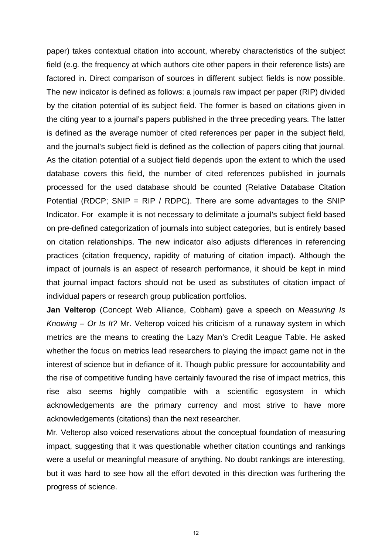paper) takes contextual citation into account, whereby characteristics of the subject field (e.g. the frequency at which authors cite other papers in their reference lists) are factored in. Direct comparison of sources in different subject fields is now possible. The new indicator is defined as follows: a journals raw impact per paper (RIP) divided by the citation potential of its subject field. The former is based on citations given in the citing year to a journal's papers published in the three preceding years. The latter is defined as the average number of cited references per paper in the subject field, and the journal's subject field is defined as the collection of papers citing that journal. As the citation potential of a subject field depends upon the extent to which the used database covers this field, the number of cited references published in journals processed for the used database should be counted (Relative Database Citation Potential (RDCP; SNIP = RIP / RDPC). There are some advantages to the SNIP Indicator. For example it is not necessary to delimitate a journal's subject field based on pre-defined categorization of journals into subject categories, but is entirely based on citation relationships. The new indicator also adjusts differences in referencing practices (citation frequency, rapidity of maturing of citation impact). Although the impact of journals is an aspect of research performance, it should be kept in mind that journal impact factors should not be used as substitutes of citation impact of individual papers or research group publication portfolios.

**Jan Velterop** (Concept Web Alliance, Cobham) gave a speech on *Measuring Is Knowing – Or Is It?* Mr. Velterop voiced his criticism of a runaway system in which metrics are the means to creating the Lazy Man's Credit League Table. He asked whether the focus on metrics lead researchers to playing the impact game not in the interest of science but in defiance of it. Though public pressure for accountability and the rise of competitive funding have certainly favoured the rise of impact metrics, this rise also seems highly compatible with a scientific egosystem in which acknowledgements are the primary currency and most strive to have more acknowledgements (citations) than the next researcher.

Mr. Velterop also voiced reservations about the conceptual foundation of measuring impact, suggesting that it was questionable whether citation countings and rankings were a useful or meaningful measure of anything. No doubt rankings are interesting, but it was hard to see how all the effort devoted in this direction was furthering the progress of science.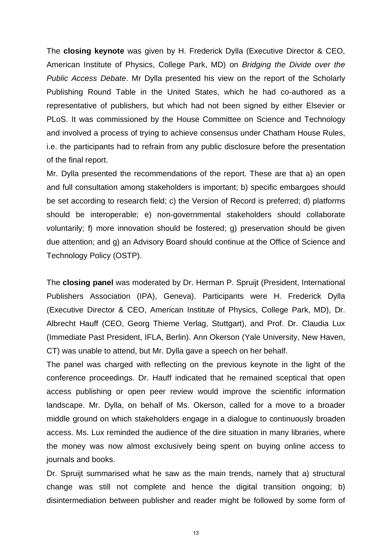The **closing keynote** was given by H. Frederick Dylla (Executive Director & CEO, American Institute of Physics, College Park, MD) on *Bridging the Divide over the Public Access Debate*. Mr Dylla presented his view on the report of the Scholarly Publishing Round Table in the United States, which he had co-authored as a representative of publishers, but which had not been signed by either Elsevier or PLoS. It was commissioned by the House Committee on Science and Technology and involved a process of trying to achieve consensus under Chatham House Rules, i.e. the participants had to refrain from any public disclosure before the presentation of the final report.

Mr. Dylla presented the recommendations of the report. These are that a) an open and full consultation among stakeholders is important; b) specific embargoes should be set according to research field; c) the Version of Record is preferred; d) platforms should be interoperable; e) non-governmental stakeholders should collaborate voluntarily; f) more innovation should be fostered; g) preservation should be given due attention; and g) an Advisory Board should continue at the Office of Science and Technology Policy (OSTP).

The **closing panel** was moderated by Dr. Herman P. Spruijt (President, International Publishers Association (IPA), Geneva). Participants were H. Frederick Dylla (Executive Director & CEO, American Institute of Physics, College Park, MD), Dr. Albrecht Hauff (CEO, Georg Thieme Verlag, Stuttgart), and Prof. Dr. Claudia Lux (Immediate Past President, IFLA, Berlin). Ann Okerson (Yale University, New Haven, CT) was unable to attend, but Mr. Dylla gave a speech on her behalf.

The panel was charged with reflecting on the previous keynote in the light of the conference proceedings. Dr. Hauff indicated that he remained sceptical that open access publishing or open peer review would improve the scientific information landscape. Mr. Dylla, on behalf of Ms. Okerson, called for a move to a broader middle ground on which stakeholders engage in a dialogue to continuously broaden access. Ms. Lux reminded the audience of the dire situation in many libraries, where the money was now almost exclusively being spent on buying online access to journals and books.

Dr. Spruijt summarised what he saw as the main trends, namely that a) structural change was still not complete and hence the digital transition ongoing; b) disintermediation between publisher and reader might be followed by some form of